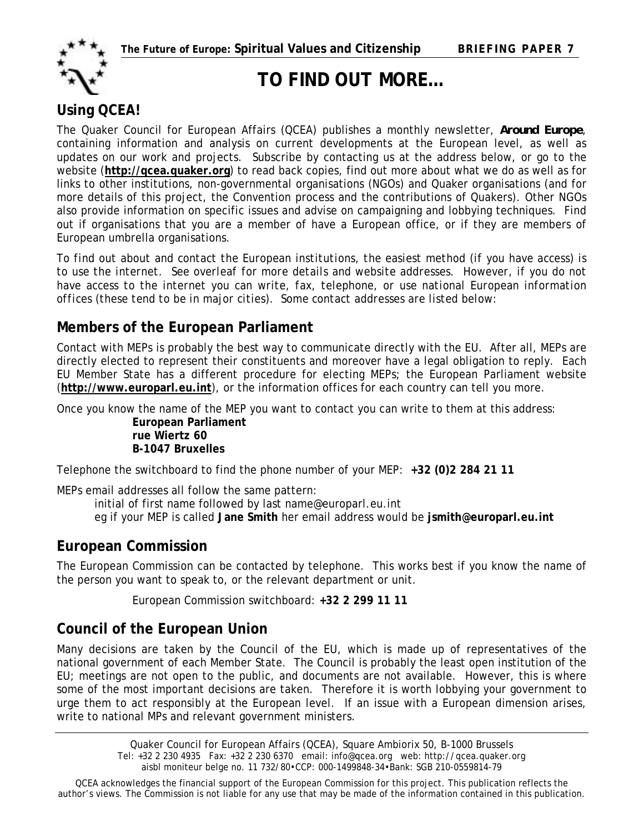

**TO FIND OUT MORE…** 

## **Using QCEA!**

The Quaker Council for European Affairs (QCEA) publishes a monthly newsletter, *Around Europe*, containing information and analysis on current developments at the European level, as well as updates on our work and projects. Subscribe by contacting us at the address below, or go to the website (**[http://qcea.quaker.org](http://qcea.quaker.org/)**) to read back copies, find out more about what we do as well as for links to other institutions, non-governmental organisations (NGOs) and Quaker organisations (and for more details of this project, the Convention process and the contributions of Quakers). Other NGOs also provide information on specific issues and advise on campaigning and lobbying techniques. Find out if organisations that you are a member of have a European office, or if they are members of European umbrella organisations.

*To find out about and contact the European institutions, the easiest method (if you have access) is to use the internet. See overleaf for more details and website addresses. However, if you do not have access to the internet you can write, fax, telephone, or use national European information offices (these tend to be in major cities). Some contact addresses are listed below:* 

### **Members of the European Parliament**

Contact with MEPs is probably the best way to communicate directly with the EU. After all, MEPs are directly elected to represent their constituents and moreover have a legal obligation to reply. Each EU Member State has a different procedure for electing MEPs; the European Parliament website (**[http://www.europarl.eu.int](http://www.europarl.eu.int/)**), or the information offices for each country can tell you more.

Once you know the name of the MEP you want to contact you can write to them at this address:

**European Parliament rue Wiertz 60 B-1047 Bruxelles** 

Telephone the switchboard to find the phone number of your MEP: **+32 (0)2 284 21 11**

MEPs email addresses all follow the same pattern:

initial of first name followed by last name@europarl.eu.int eg if your MEP is called **Jane Smith** her email address would be **jsmith@europarl.eu.int**

### **European Commission**

The European Commission can be contacted by telephone. This works best if you know the name of the person you want to speak to, or the relevant department or unit.

European Commission switchboard: **+32 2 299 11 11**

### **Council of the European Union**

Many decisions are taken by the Council of the EU, which is made up of representatives of the national government of each Member State. The Council is probably the least open institution of the EU; meetings are not open to the public, and documents are not available. However, this is where some of the most important decisions are taken. Therefore it is worth lobbying your government to urge them to act responsibly at the European level. If an issue with a European dimension arises, write to national MPs and relevant government ministers.

> Quaker Council for European Affairs (QCEA), Square Ambiorix 50, B-1000 Brussels Tel: +32 2 230 4935 Fax: +32 2 230 6370 email: info@qcea.org web: http://qcea.quaker.org aisbl moniteur belge no. 11 732/80•CCP: 000-1499848-34•Bank: SGB 210-0559814-79

QCEA acknowledges the financial support of the European Commission for this project. This publication reflects the author's views. The Commission is not liable for any use that may be made of the information contained in this publication.